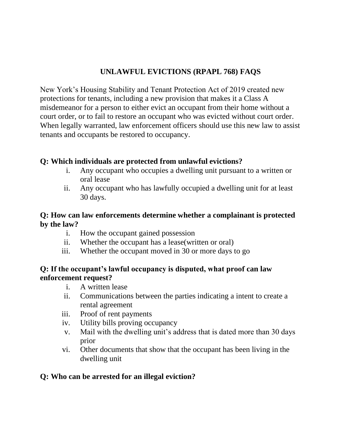# **UNLAWFUL EVICTIONS (RPAPL 768) FAQS**

New York's Housing Stability and Tenant Protection Act of 2019 created new protections for tenants, including a new provision that makes it a Class A misdemeanor for a person to either evict an occupant from their home without a court order, or to fail to restore an occupant who was evicted without court order. When legally warranted, law enforcement officers should use this new law to assist tenants and occupants be restored to occupancy.

## **Q: Which individuals are protected from unlawful evictions?**

- i. Any occupant who occupies a dwelling unit pursuant to a written or oral lease
- ii. Any occupant who has lawfully occupied a dwelling unit for at least 30 days.

#### **Q: How can law enforcements determine whether a complainant is protected by the law?**

- i. How the occupant gained possession
- ii. Whether the occupant has a lease(written or oral)
- iii. Whether the occupant moved in 30 or more days to go

## **Q: If the occupant's lawful occupancy is disputed, what proof can law enforcement request?**

- i. A written lease
- ii. Communications between the parties indicating a intent to create a rental agreement
- iii. Proof of rent payments
- iv. Utility bills proving occupancy
- v. Mail with the dwelling unit's address that is dated more than 30 days prior
- vi. Other documents that show that the occupant has been living in the dwelling unit

## **Q: Who can be arrested for an illegal eviction?**